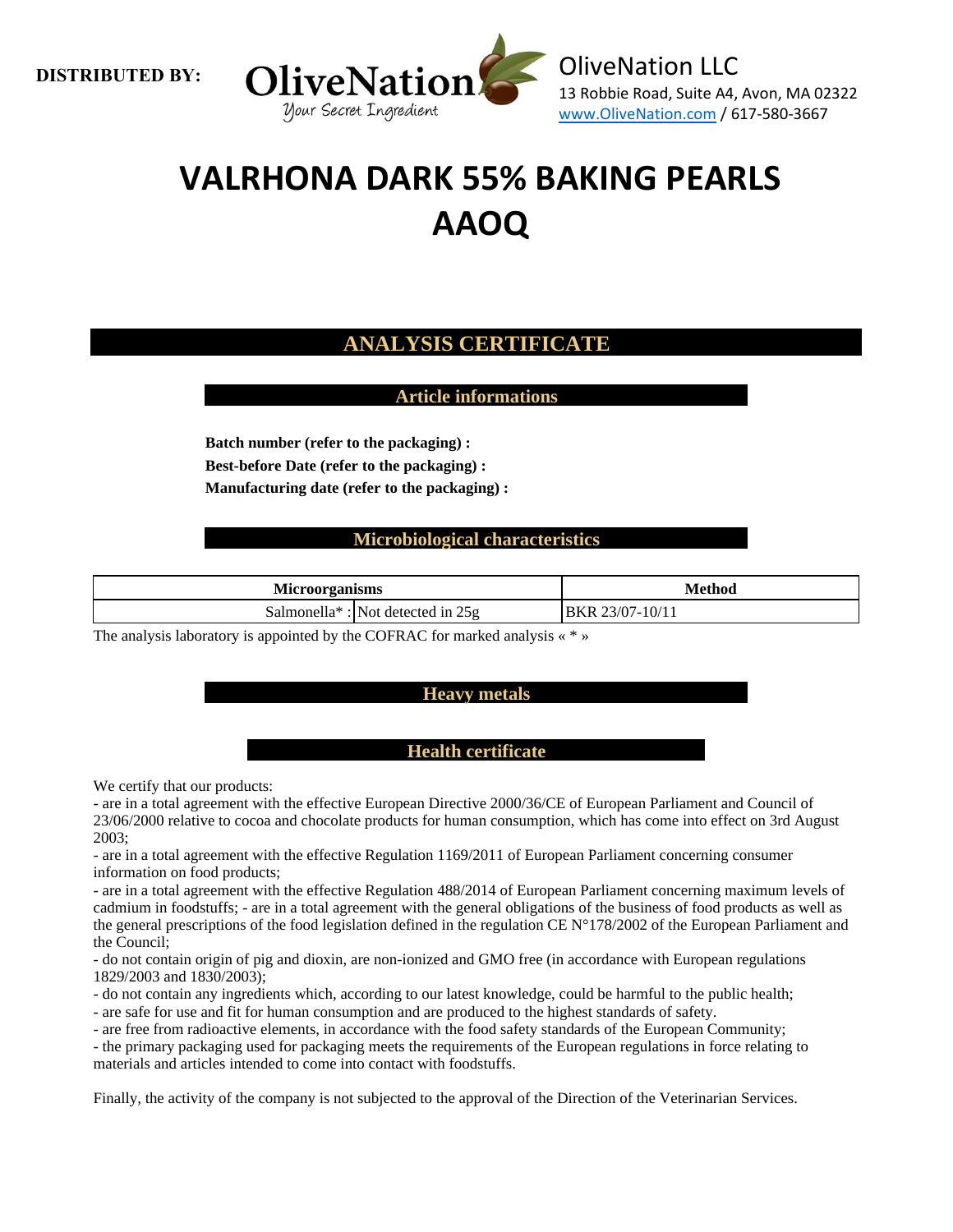



# **VALRHONA DARK 55% BAKING PEARLS AAOQ**

## **ANALYSIS CERTIFICATE**

**Article informations**

**Batch number (refer to the packaging) : Best-before Date (refer to the packaging) : Manufacturing date (refer to the packaging) :**

### **Microbiological characteristics**

| <b>Microorganisms</b> |                                                 | Method                    |
|-----------------------|-------------------------------------------------|---------------------------|
|                       | Salmonella <sup>*</sup> : Not detected in $25g$ | 23/07-10/11<br><b>BKR</b> |

The analysis laboratory is appointed by the COFRAC for marked analysis « \* »

#### **Heavy metals**

#### **Health certificate**

We certify that our products:

- are in a total agreement with the effective European Directive 2000/36/CE of European Parliament and Council of 23/06/2000 relative to cocoa and chocolate products for human consumption, which has come into effect on 3rd August 2003;

- are in a total agreement with the effective Regulation 1169/2011 of European Parliament concerning consumer information on food products;

- are in a total agreement with the effective Regulation 488/2014 of European Parliament concerning maximum levels of cadmium in foodstuffs; - are in a total agreement with the general obligations of the business of food products as well as the general prescriptions of the food legislation defined in the regulation CE N°178/2002 of the European Parliament and the Council;

- do not contain origin of pig and dioxin, are non-ionized and GMO free (in accordance with European regulations 1829/2003 and 1830/2003);

- do not contain any ingredients which, according to our latest knowledge, could be harmful to the public health;

- are safe for use and fit for human consumption and are produced to the highest standards of safety.

- are free from radioactive elements, in accordance with the food safety standards of the European Community;

- the primary packaging used for packaging meets the requirements of the European regulations in force relating to materials and articles intended to come into contact with foodstuffs.

Finally, the activity of the company is not subjected to the approval of the Direction of the Veterinarian Services.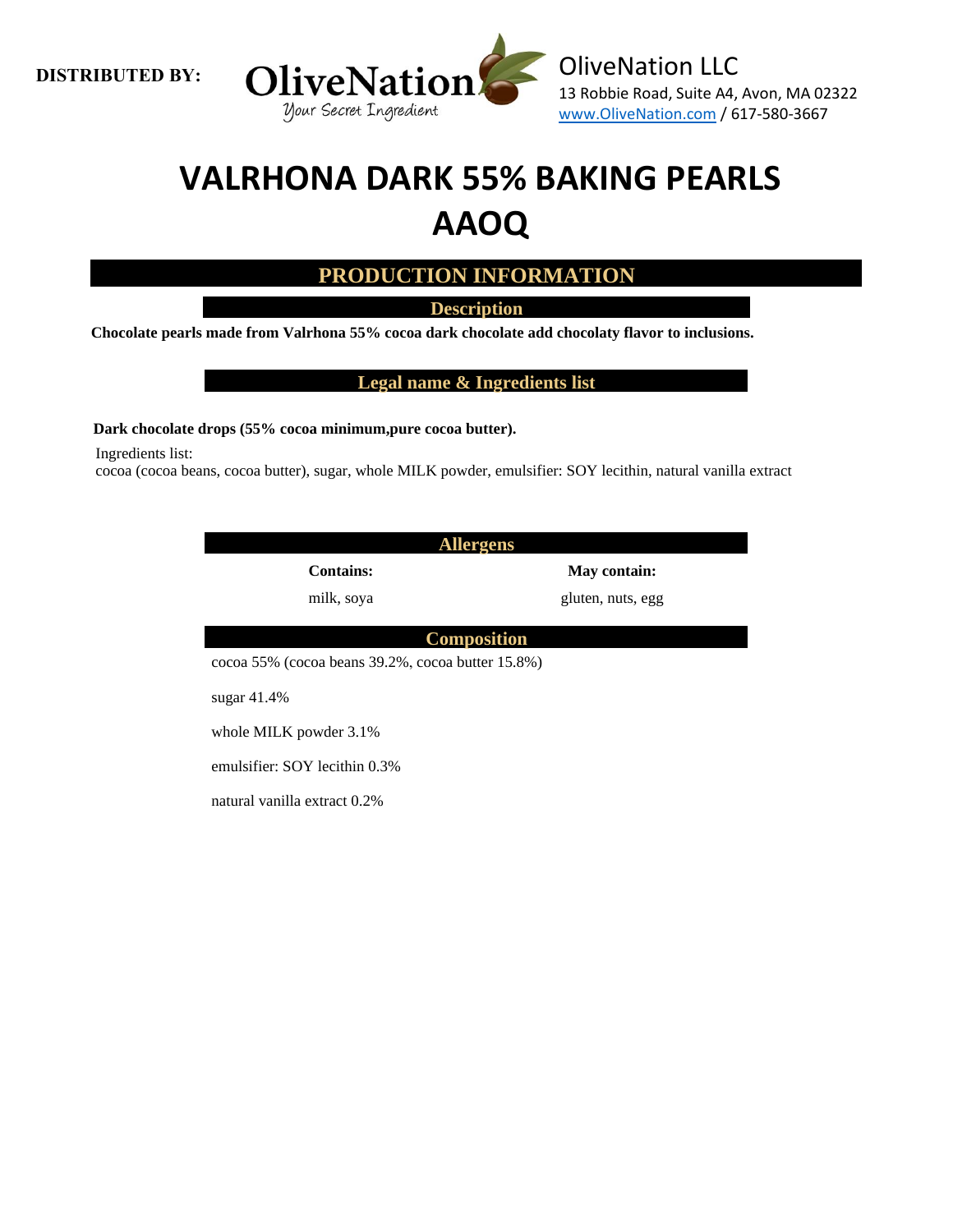**DISTRIBUTED BY:** 



## **VALRHONA DARK 55% BAKING PEARLS AAOQ**

**PRODUCTION INFORMATION**

**Description**

**Chocolate pearls made from Valrhona 55% cocoa dark chocolate add chocolaty flavor to inclusions.**

**Legal name & Ingredients list**

**Dark chocolate drops (55% cocoa minimum,pure cocoa butter).**

Ingredients list:

cocoa (cocoa beans, cocoa butter), sugar, whole MILK powder, emulsifier: SOY lecithin, natural vanilla extract

| <b>Allergens</b>                                  |                   |  |  |  |  |
|---------------------------------------------------|-------------------|--|--|--|--|
| <b>Contains:</b>                                  | May contain:      |  |  |  |  |
| milk, soya                                        | gluten, nuts, egg |  |  |  |  |
|                                                   |                   |  |  |  |  |
| <b>Composition</b>                                |                   |  |  |  |  |
| cocoa 55% (cocoa beans 39.2%, cocoa butter 15.8%) |                   |  |  |  |  |
| sugar $41.4\%$                                    |                   |  |  |  |  |
| whole MILK powder 3.1%                            |                   |  |  |  |  |
| emulsifier: SOY lecithin 0.3%                     |                   |  |  |  |  |

natural vanilla extract 0.2%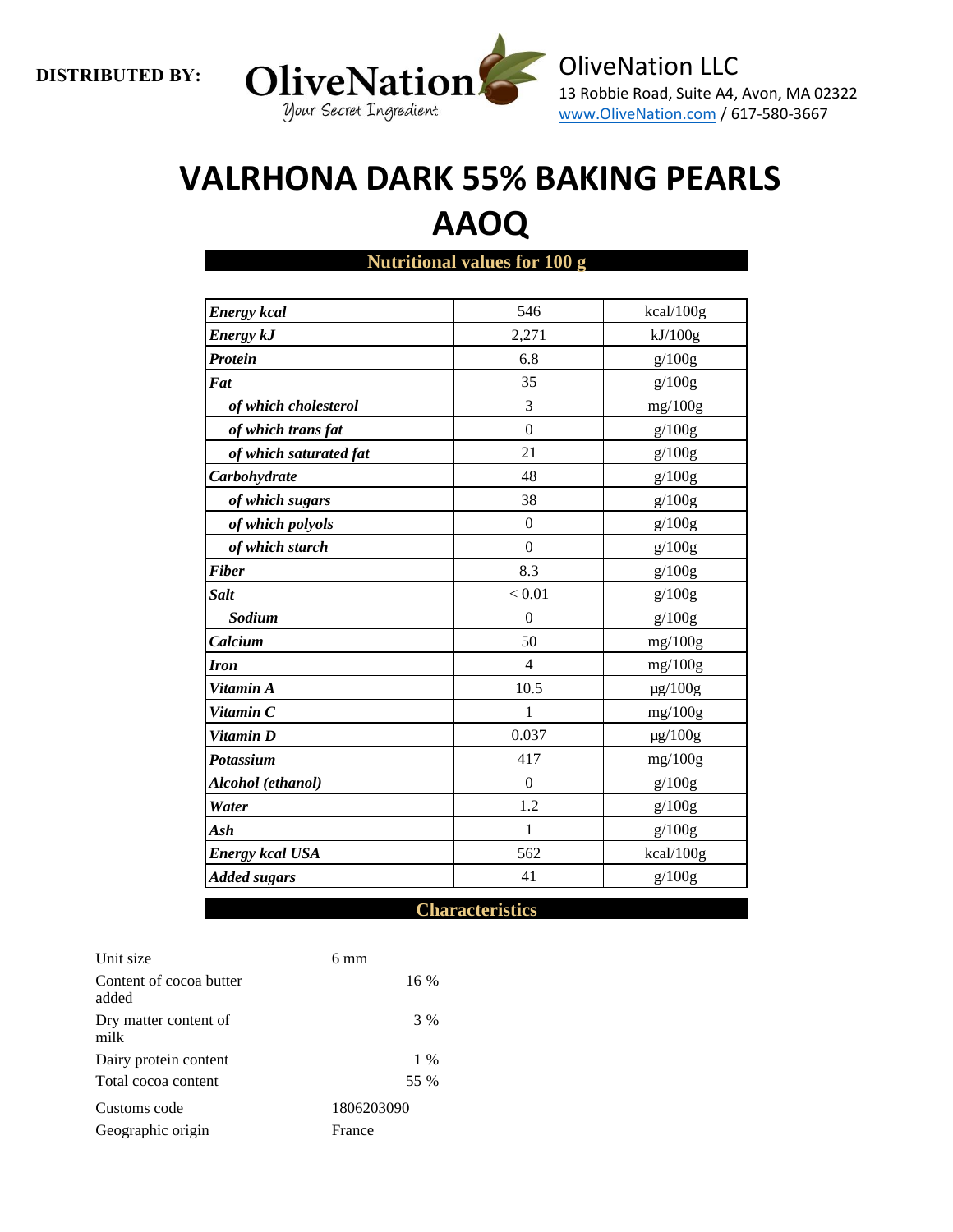

# **VALRHONA DARK 55% BAKING PEARLS AAOQ**

**Nutritional values for 100 g**

| <b>Energy</b> kcal         | 546          | kcal/100g    |
|----------------------------|--------------|--------------|
| <b>Energy kJ</b>           | 2,271        | kJ/100g      |
| Protein                    | 6.8          | g/100g       |
| $\vert \mathit{Fat} \vert$ | 35           | g/100g       |
| of which cholesterol       | 3            | mg/100g      |
| of which trans fat         | $\theta$     | g/100g       |
| of which saturated fat     | 21           | g/100g       |
| Carbohydrate               | 48           | g/100g       |
| of which sugars            | 38           | g/100g       |
| of which polyols           | $\mathbf{0}$ | g/100g       |
| of which starch            | $\mathbf{0}$ | g/100g       |
| <b>Fiber</b>               | 8.3          | g/100g       |
| <b>Salt</b>                | < 0.01       | g/100g       |
| Sodium                     | $\theta$     | g/100g       |
| Calcium                    | 50           | mg/100g      |
| <b>Iron</b>                | 4            | mg/100g      |
| Vitamin A                  | 10.5         | $\mu$ g/100g |
| Vitamin C                  | 1            | mg/100g      |
| Vitamin D                  | 0.037        | $\mu$ g/100g |
| <b>Potassium</b>           | 417          | mg/100g      |
| Alcohol (ethanol)          | $\Omega$     | g/100g       |
| Water                      | 1.2          | g/100g       |
| Ash                        | $\mathbf{1}$ | g/100g       |
| <b>Energy kcal USA</b>     | 562          | kcal/100g    |
| <b>Added sugars</b>        | 41           | g/100g       |
|                            |              |              |

**Characteristics**

| Unit size                        | 6 mm       |
|----------------------------------|------------|
| Content of cocoa butter<br>added | $16\%$     |
| Dry matter content of<br>milk    | 3 %        |
| Dairy protein content            | $1\%$      |
| Total cocoa content              | 55 %       |
| Customs code                     | 1806203090 |
| Geographic origin                | France     |